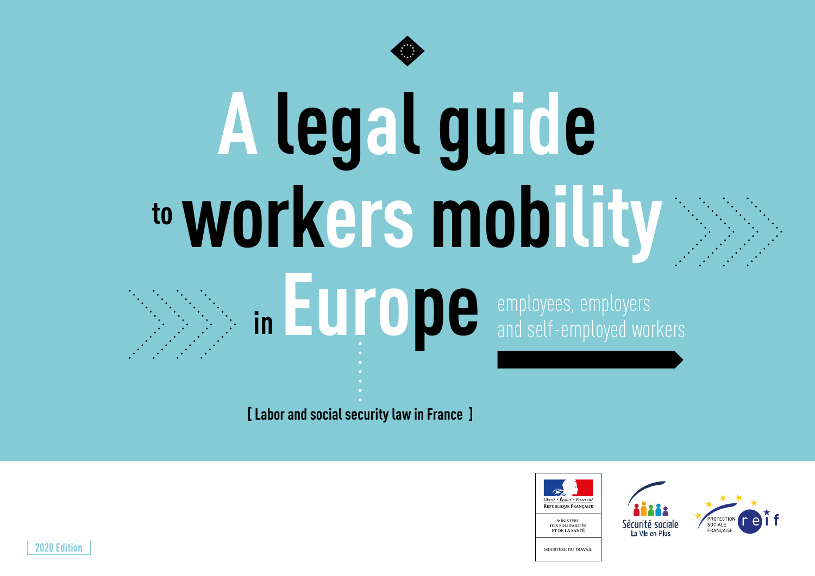

# **A legal guide toworkers mobility** in **EUPODE** employees, employers

and self-employed workers

**[ Labor and social security law in France ]**





**2020 Edition**

MINISTÈRE DU TRAVAIL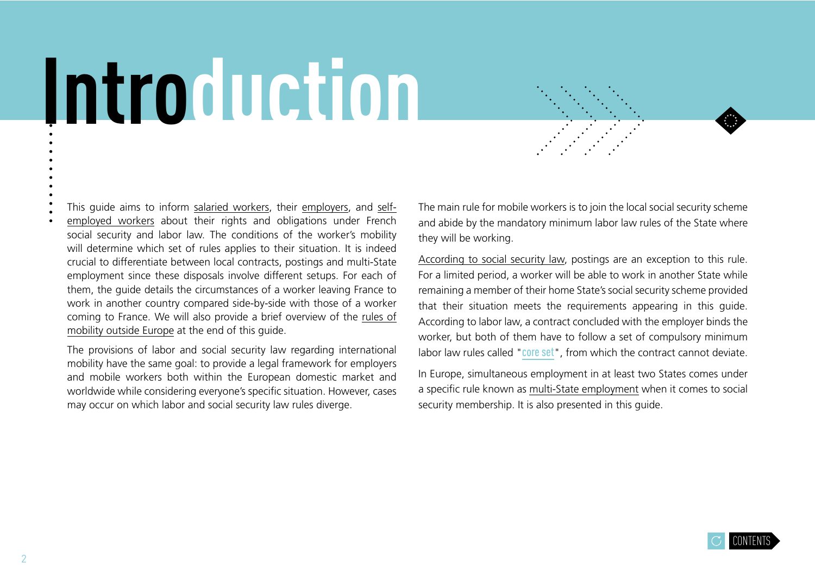# <span id="page-1-0"></span>**Introduction**

This guide aims to inform [salaried workers,](#page-21-0) their [employers,](#page-11-0) and [self](#page-27-0)[employed workers](#page-27-0) about their rights and obligations under French social security and labor law. The conditions of the worker's mobility will determine which set of rules applies to their situation. It is indeed crucial to differentiate between local contracts, postings and multi-State employment since these disposals involve different setups. For each of them, the guide details the circumstances of a worker leaving France to work in another country compared side-by-side with those of a worker coming to France. We will also provide a brief overview of the [rules of](#page-33-0)  [mobility outside Europe](#page-33-0) at the end of this guide.

The provisions of labor and social security law regarding international mobility have the same goal: to provide a legal framework for employers and mobile workers both within the European domestic market and worldwide while considering everyone's specific situation. However, cases may occur on which labor and social security law rules diverge.

The main rule for mobile workers is to join the local social security scheme and abide by the mandatory minimum labor law rules of the State where they will be working.

[According to social security law](#page-7-0), postings are an exception to this rule. For a limited period, a worker will be able to work in another State while remaining a member of their home State's social security scheme provided that their situation meets the requirements appearing in this guide. According to labor law, a contract concluded with the employer binds the worker, but both of them have to follow a set of compulsory minimum labor law rules called "[core set](https://travail-emploi.gouv.fr/droit-du-travail/detachement-des-salaries/article/in-brief-posting-of-employees)", from which the contract cannot deviate.

In Europe, simultaneous employment in at least two States comes under a specific rule known as [multi-State employment](#page-8-0) when it comes to social security membership. It is also presented in this quide.

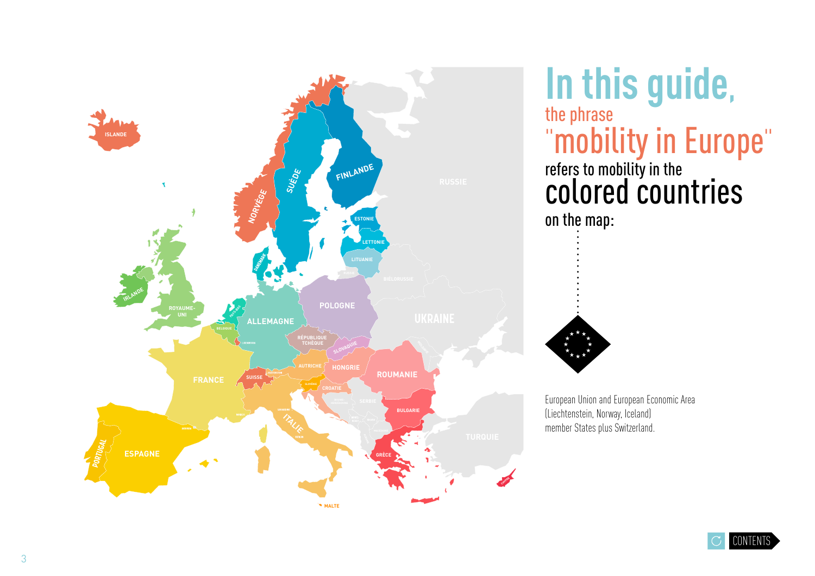

**In this guide,** the phrase "mobility in Europe" refers to mobility in the colored countries on the map:



European Union and European Economic Area (Liechtenstein, Norway, Iceland) member States plus Switzerland.

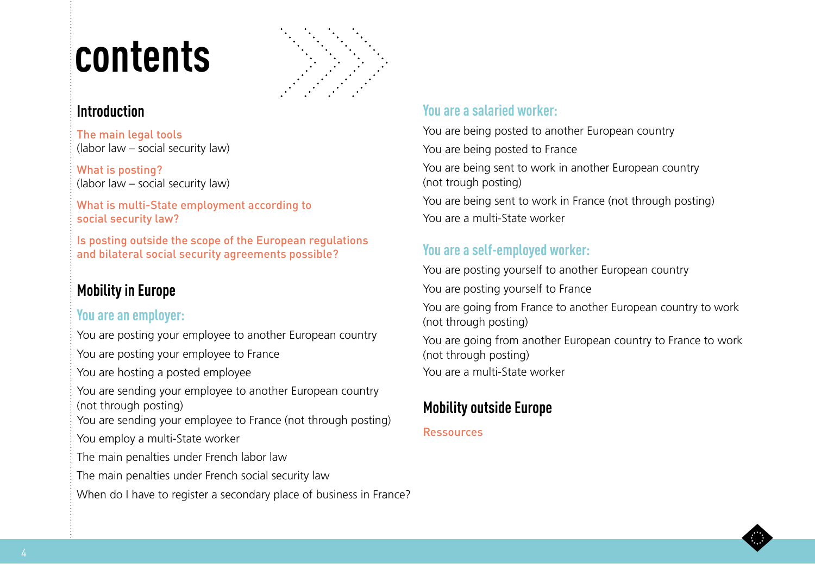# <span id="page-3-0"></span>**contents**



### **[Introductio](#page-1-0)n**

The main legal tools ([labor law](#page-4-0) – [social security law](#page-5-0))

[What is posting?](#page-6-0)  ([labor law](#page-6-0) – [social security law](#page-7-0))

[What is multi-State employment according to](#page-8-0) [social security law?](#page-8-0)

[Is posting outside the scope of the European regulations](#page-9-0) [and bilateral social security agreements possible?](#page-9-0) 

## **[Mobility in Europe](#page-10-0)**

### **[You are an employer:](#page-11-0)**

[You are posting your employee to another European country](#page-12-0)

[You are posting your employee to France](#page-13-0)

[You are hosting a posted employee](#page-14-0)

[You are sending your employee to another European country](#page-15-0) [\(not through posting\)](#page-15-0)

[You are sending your employee to France \(not through posting\)](#page-16-0) [You employ a multi-State worker](#page-17-0) 

[The main penalties under French labor law](#page-18-0)

[The main penalties under French social security law](#page-19-0)

When do I have to register a secondary place of business in France?

### **[You are a salaried worker:](#page-21-0)**

[You are being posted to another European country](#page-22-0) [You are being posted to France](#page-23-0) [You are being sent to work in another European country](#page-24-0) [\(not trough posting\)](#page-24-0)

[You are being sent to work in France \(not through posting\)](#page-25-0) [You are a multi-State worker](#page-26-0)

### **[You are a self-employed worker:](#page-27-0)**

[You are posting yourself to another European country](#page-28-0)

[You are posting yourself to France](#page-29-0) 

[You are going from France to another European country to work](#page-30-0)  [\(not through posting\)](#page-30-0)

[You are going from another European country to France to work](#page-31-0)  [\(not through posting\)](#page-31-0) [You are a multi-State worker](#page-32-0) 

### **[Mobility outside Europe](#page-33-0)**

### [Ressources](#page-34-0)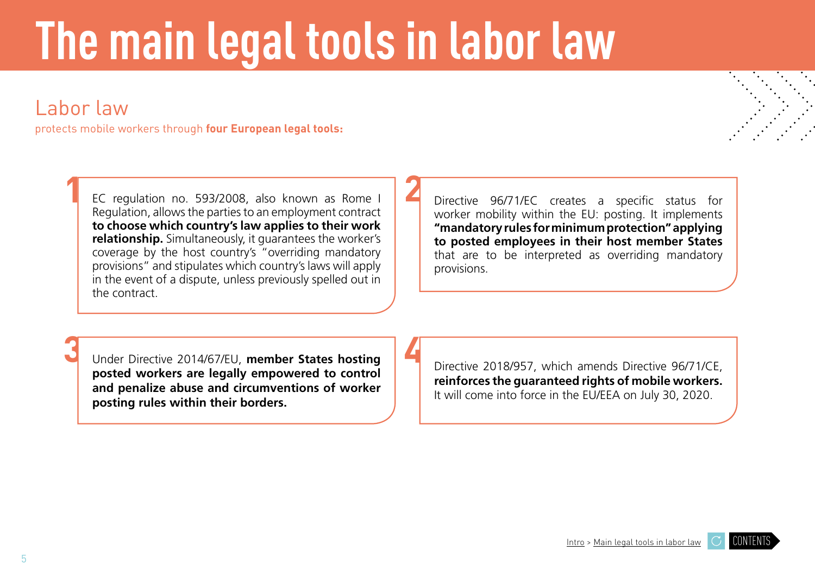# <span id="page-4-0"></span>**The main legal tools in labor law**

**2**

**4**

# Labor law

**1**

protects mobile workers through **four European legal tools:** 

EC regulation no. 593/2008, also known as Rome I Regulation, allows the parties to an employment contract **to choose which country's law applies to their work relationship.** Simultaneously, it guarantees the worker's coverage by the host country's "overriding mandatory provisions" and stipulates which country's laws will apply in the event of a dispute, unless previously spelled out in the contract.

Directive 96/71/EC creates a specific status for worker mobility within the EU: posting. It implements **"mandatory rules for minimum protection" applying to posted employees in their host member States**  that are to be interpreted as overriding mandatory provisions.

**3**

Under Directive 2014/67/EU, **member States hosting posted workers are legally empowered to control and penalize abuse and circumventions of worker posting rules within their borders.** 

Directive 2018/957, which amends Directive 96/71/CE, **reinforces the guaranteed rights of mobile workers.**  It will come into force in the EU/EEA on July 30, 2020.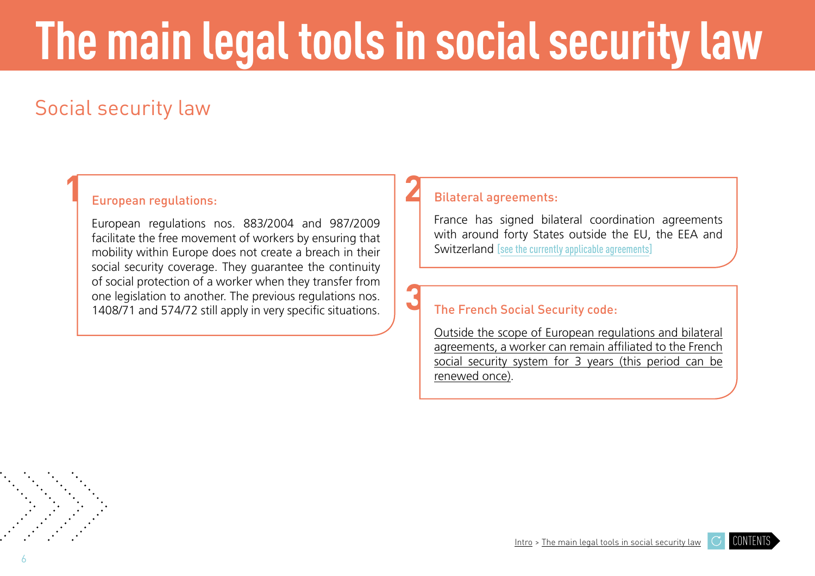# <span id="page-5-0"></span>**The main legal tools in social security law**

**3**

# Social security law

**1**

### European regulations: **2**

European regulations nos. 883/2004 and 987/2009 facilitate the free movement of workers by ensuring that mobility within Europe does not create a breach in their social security coverage. They guarantee the continuity of social protection of a worker when they transfer from one legislation to another. The previous regulations nos. 1408/71 and 574/72 still apply in very specific situations.

#### Bilateral agreements:

France has signed bilateral coordination agreements with around forty States outside the EU, the EEA and Switzerland [\[see the currently applicable agreements\]](https://www.cleiss.fr/docs/textes/index.html)

### The French Social Security code:

[Outside the scope of European regulations and bilateral](#page-9-0) [agreements, a worker can remain affiliated to the French](#page-9-0) [social security system for 3 years \(this period can be](#page-9-0) [renewed once\).](#page-9-0)



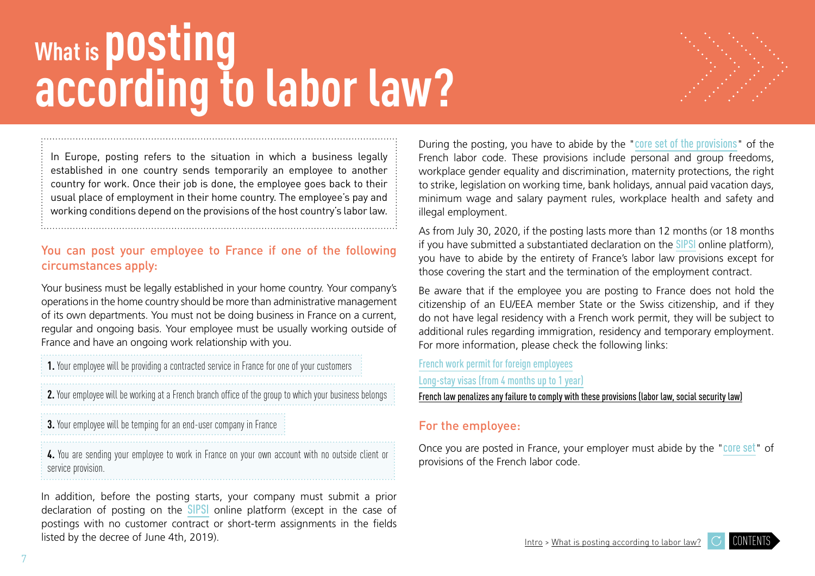# <span id="page-6-0"></span>**What is posting according to labor law?**



In Europe, posting refers to the situation in which a business legally established in one country sends temporarily an employee to another country for work. Once their job is done, the employee goes back to their usual place of employment in their home country. The employee's pay and working conditions depend on the provisions of the host country's labor law.

### You can post your employee to France if one of the following circumstances apply:

Your business must be legally established in your home country. Your company's operations in the home country should be more than administrative management of its own departments. You must not be doing business in France on a current, regular and ongoing basis. Your employee must be usually working outside of France and have an ongoing work relationship with you.

**1.** Your employee will be providing a contracted service in France for one of your customers

**2.** Your employee will be working at a French branch office of the group to which your business belongs

**3.** Your employee will be temping for an end-user company in France

**4.** You are sending your employee to work in France on your own account with no outside client or service provision.

In addition, before the posting starts, your company must submit a prior declaration of posting on the **[SIPSI](https://www.sipsi.travail.gouv.fr/#/auth/login)** online platform (except in the case of postings with no customer contract or short-term assignments in the fields listed by the decree of June 4th, 2019).

During the posting, you have to abide by the "[core set of the provisions](https://travail-emploi.gouv.fr/droit-du-travail/detachement-des-salaries/article/in-brief-posting-of-employees)" of the French labor code. These provisions include personal and group freedoms, workplace gender equality and discrimination, maternity protections, the right to strike, legislation on working time, bank holidays, annual paid vacation days, minimum wage and salary payment rules, workplace health and safety and illegal employment.

As from July 30, 2020, if the posting lasts more than 12 months (or 18 months if you have submitted a substantiated declaration on the [SIPSI](https://www.sipsi.travail.gouv.fr/#/auth/login) online platform), you have to abide by the entirety of France's labor law provisions except for those covering the start and the termination of the employment contract.

Be aware that if the employee you are posting to France does not hold the citizenship of an EU/EEA member State or the Swiss citizenship, and if they do not have legal residency with a French work permit, they will be subject to additional rules regarding immigration, residency and temporary employment. For more information, please check the following links:

[French work permit for foreign employees](https://www.service-public.fr/particuliers/vosdroits/F2728) [Long-stay visas \(from 4 months up to 1 year\)](https://www.service-public.fr/particuliers/vosdroits/F16162)

[French law penalizes any failure to comply with these provisions \(labor law, social security law\)](#page-18-0)

### For the employee:

Once you are posted in France, your employer must abide by the "[core set](https://travail-emploi.gouv.fr/droit-du-travail/detachement-des-salaries/article/in-brief-posting-of-employees)" of provisions of the French labor code.

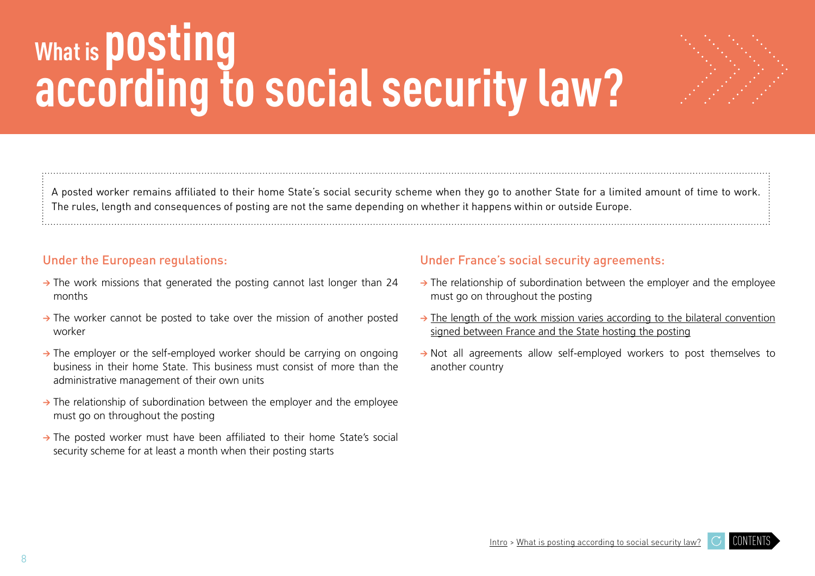# <span id="page-7-0"></span>**what is posting<br>according to social security law?**



A posted worker remains affiliated to their home State's social security scheme when they go to another State for a limited amount of time to work. The rules, length and consequences of posting are not the same depending on whether it happens within or outside Europe.

#### Under the European regulations:

- **→** The work missions that generated the posting cannot last longer than 24 months
- **→** The worker cannot be posted to take over the mission of another posted worker
- **→** The employer or the self-employed worker should be carrying on ongoing business in their home State. This business must consist of more than the administrative management of their own units
- **→** The relationship of subordination between the employer and the employee must go on throughout the posting
- **→** The posted worker must have been affiliated to their home State's social security scheme for at least a month when their posting starts

#### Under France's social security agreements:

- **→** The relationship of subordination between the employer and the employee must go on throughout the posting
- **→** [The length of the work mission varies according to the bilateral convention](https://www.cleiss.fr/employeurs/detachement/detachement.html)  [signed between France and the State hosting the posting](https://www.cleiss.fr/employeurs/detachement/detachement.html)
- **→** Not all agreements allow self-employed workers to post themselves to another country

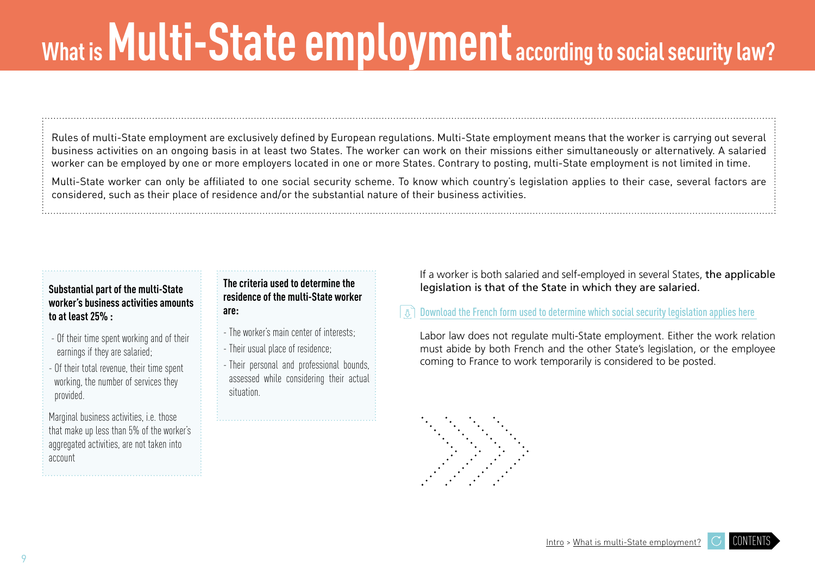# <span id="page-8-0"></span>What is **Multi-State employment** according to social security law?

Rules of multi-State employment are exclusively defined by European regulations. Multi-State employment means that the worker is carrying out several business activities on an ongoing basis in at least two States. The worker can work on their missions either simultaneously or alternatively. A salaried worker can be employed by one or more employers located in one or more States. Contrary to posting, multi-State employment is not limited in time.

Multi-State worker can only be affiliated to one social security scheme. To know which country's legislation applies to their case, several factors are considered, such as their place of residence and/or the substantial nature of their business activities.

#### **Substantial part of the multi-State worker's business activities amounts to at least 25% :**

- Of their time spent working and of their earnings if they are salaried;
- Of their total revenue, their time spent working, the number of services they provided.

Marginal business activities, i.e. those that make up less than 5% of the worker's aggregated activities, are not taken into account

#### **The criteria used to determine the residence of the multi-State worker are:**

- The worker's main center of interests;
- Their usual place of residence;
- Their personal and professional bounds, assessed while considering their actual situation.

If a worker is both salaried and self-employed in several States, the applicable legislation is that of the State in which they are salaried.

### [Download the French form used to determine which social security legislation applies here](https://www.cleiss.fr/pdf/form_dla.pdf)

Labor law does not regulate multi-State employment. Either the work relation must abide by both French and the other State's legislation, or the employee coming to France to work temporarily is considered to be posted.



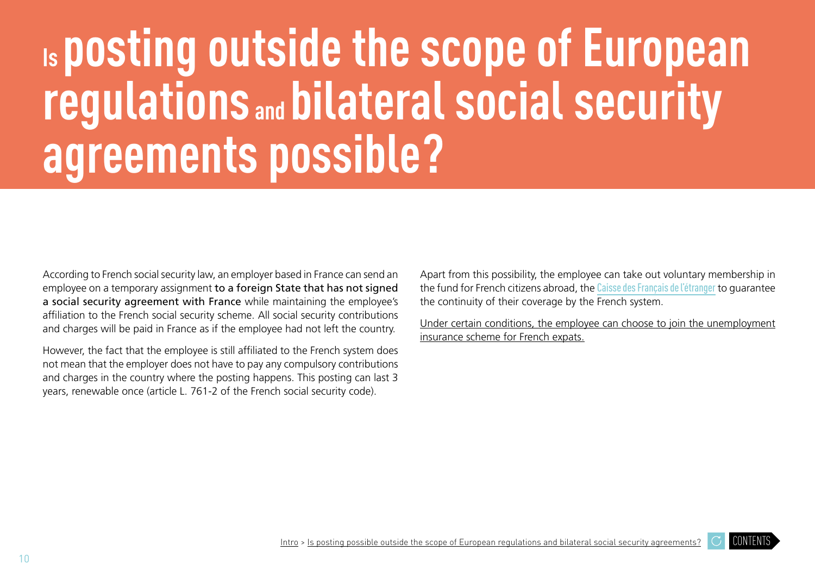# <span id="page-9-0"></span>**Is posting outside the scope of European regulations and bilateral social security agreements possible?**

According to French social security law, an employer based in France can send an employee on a temporary assignment to a foreign State that has not signed a social security agreement with France while maintaining the employee's affiliation to the French social security scheme. All social security contributions and charges will be paid in France as if the employee had not left the country.

However, the fact that the employee is still affiliated to the French system does not mean that the employer does not have to pay any compulsory contributions and charges in the country where the posting happens. This posting can last 3 years, renewable once (article L. 761-2 of the French social security code).

Apart from this possibility, the employee can take out voluntary membership in the fund for French citizens abroad, the [Caisse des Français de l'étranger](https://www.cfe.fr/en/assurance-sante?gclid=EAIaIQobChMItNyLgvyy5gIVGODtCh3MQgc1EAAYASAAEgLsQ_D_BwE) to quarantee the continuity of their coverage by the French system.

[Under certain conditions, the employee can choose to join the unemployment](https://www.pole-emploi.fr/candidat/mes-droits-aux-aides-et-allocati/lallocation-chomage-a-letranger.html) [insurance scheme for French expats.](https://www.pole-emploi.fr/candidat/mes-droits-aux-aides-et-allocati/lallocation-chomage-a-letranger.html)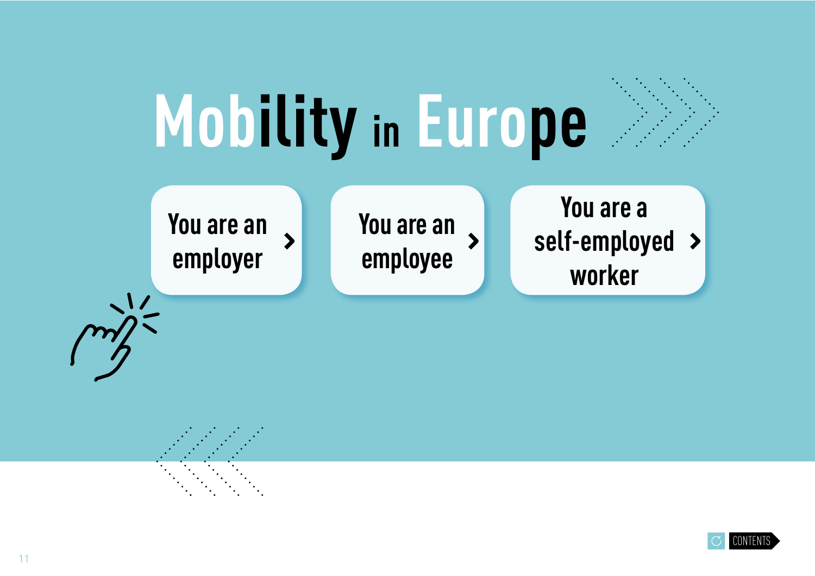<span id="page-10-0"></span>

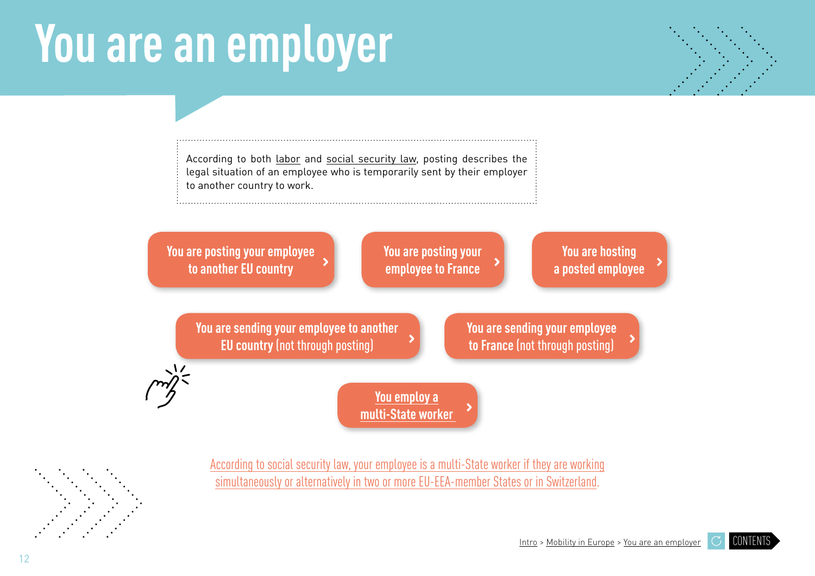# <span id="page-11-0"></span>**You are an employer**



[CONTENTS](#page-3-0)

According to [both labor](#page-6-0) and [social security law,](#page-7-0) posting describes the legal situation of an employee who is temporarily sent by their employer to another country to work.



[According to social security law, your employee is a multi-State worker if they are working](#page-8-0) [simultaneously or alternatively in two or more EU-EEA-member States or in Switzerland.](#page-8-0) 





12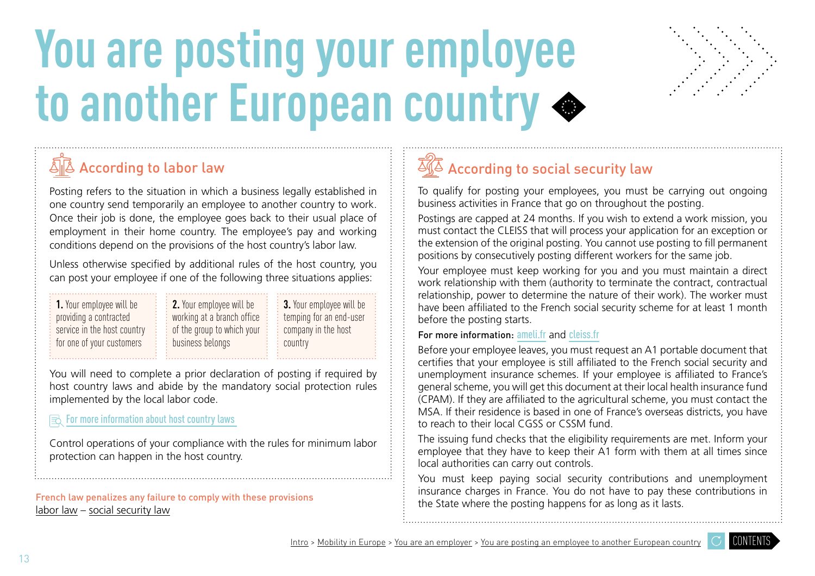# <span id="page-12-0"></span>**You are posting your employee to another European country**



# According to labor law

Posting refers to the situation in which a business legally established in one country send temporarily an employee to another country to work. Once their job is done, the employee goes back to their usual place of employment in their home country. The employee's pay and working conditions depend on the provisions of the host country's labor law.

Unless otherwise specified by additional rules of the host country, you can post your employee if one of the following three situations applies:

| $\frac{1}{2}$ 2. Your employee will be<br>working at a branch office |
|----------------------------------------------------------------------|
| $\frac{1}{2}$ of the group to which your<br>business belongs         |
|                                                                      |

**3.** Your employee will be temping for an end-user company in the host country

You will need to complete a prior declaration of posting if required by host country laws and abide by the mandatory social protection rules implemented by the local labor code.

### $\mathbf{R}$  For more information about host country laws

Control operations of your compliance with the rules for minimum labor protection can happen in the host country.

French law penalizes any failure to comply with these provisions [labor law](#page-18-0) – [social](#page-19-0) security law

# $\sqrt[3]{4}$  According to social security law

To qualify for posting your employees, you must be carrying out ongoing business activities in France that go on throughout the posting.

Postings are capped at 24 months. If you wish to extend a work mission, you must contact the CLEISS that will process your application for an exception or the extension of the original posting. You cannot use posting to fill permanent positions by consecutively posting different workers for the same job.

Your employee must keep working for you and you must maintain a direct work relationship with them (authority to terminate the contract, contractual relationship, power to determine the nature of their work). The worker must have been affiliated to the French social security scheme for at least 1 month before the posting starts.

#### For more information: [ameli.fr](https://www.ameli.fr/paris) and [cleiss.fr](https://www.cleiss.fr/index_en.html)

Before your employee leaves, you must request an A1 portable document that certifies that your employee is still affiliated to the French social security and unemployment insurance schemes. If your employee is affiliated to France's general scheme, you will get this document at their local health insurance fund (CPAM). If they are affiliated to the agricultural scheme, you must contact the MSA. If their residence is based in one of France's overseas districts, you have to reach to their local CGSS or CSSM fund.

The issuing fund checks that the eligibility requirements are met. Inform your employee that they have to keep their A1 form with them at all times since local authorities can carry out controls.

You must keep paying social security contributions and unemployment insurance charges in France. You do not have to pay these contributions in the State where the posting happens for as long as it lasts.

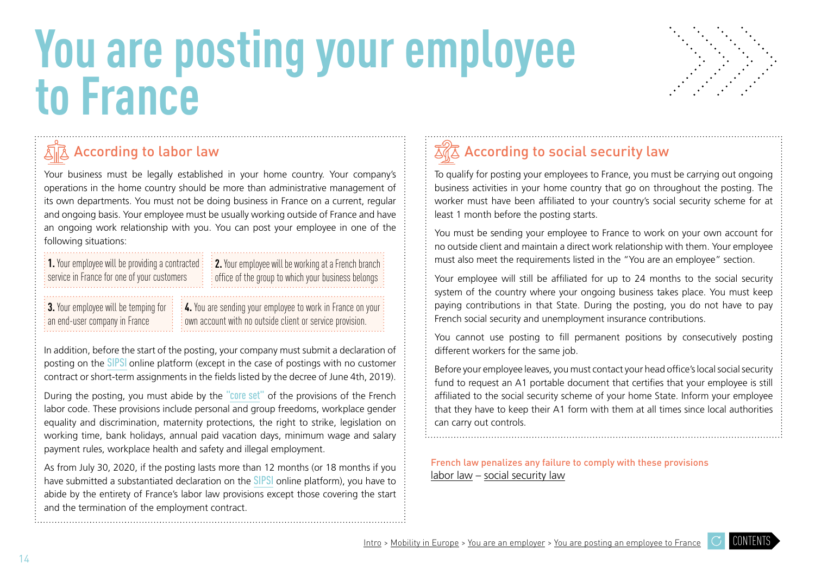# <span id="page-13-0"></span>**You are posting your employee to France**



### According to labor la[w](#page-6-0)

Your business must be legally established in your home country. Your company's operations in the home country should be more than administrative management of its own departments. You must not be doing business in France on a current, regular and ongoing basis. Your employee must be usually working outside of France and have an ongoing work relationship with you. You can post your employee in one of the following situations:

**1.** Your employee will be providing a contracted service in France for one of your customers

**2.** Your employee will be working at a French branch office of the group to which your business belongs

**3.** Your employee will be temping for an end-user company in France

**4.** You are sending your employee to work in France on your own account with no outside client or service provision.

In addition, before the start of the posting, your company must submit a declaration of posting on the [SIPSI](https://www.sipsi.travail.gouv.fr/#/auth/login) online platform (except in the case of postings with no customer contract or short-term assignments in the fields listed by the decree of June 4th, 2019).

During the posting, you must abide by the ["core set"](https://travail-emploi.gouv.fr/droit-du-travail/detachement-des-salaries/article/in-brief-posting-of-employees) of the provisions of the French labor code. These provisions include personal and group freedoms, workplace gender equality and discrimination, maternity protections, the right to strike, legislation on working time, bank holidays, annual paid vacation days, minimum wage and salary payment rules, workplace health and safety and illegal employment.

As from July 30, 2020, if the posting lasts more than 12 months (or 18 months if you have submitted a substantiated declaration on the **[SIPSI](https://www.sipsi.travail.gouv.fr/#/auth/login)** online platform), you have to abide by the entirety of France's labor law provisions except those covering the start and the termination of the employment contract.

# $\overline{\mathbb{Z}}\sqrt{\mathbb{Z}}$  According to social security la[w](#page-7-0)

To qualify for posting your employees to France, you must be carrying out ongoing business activities in your home country that go on throughout the posting. The worker must have been affiliated to your country's social security scheme for at least 1 month before the posting starts.

You must be sending your employee to France to work on your own account for no outside client and maintain a direct work relationship with them. Your employee must also meet the requirements listed in the "You are an employee" section.

Your employee will still be affiliated for up to 24 months to the social security system of the country where your ongoing business takes place. You must keep paying contributions in that State. During the posting, you do not have to pay French social security and unemployment insurance contributions.

You cannot use posting to fill permanent positions by consecutively posting different workers for the same job.

Before your employee leaves, you must contact your head office's local social security fund to request an A1 portable document that certifies that your employee is still affiliated to the social security scheme of your home State. Inform your employee that they have to keep their A1 form with them at all times since local authorities can carry out controls.

French law penalizes any failure to comply with these provisions [labor law](#page-18-0) – [social](#page-19-0) security law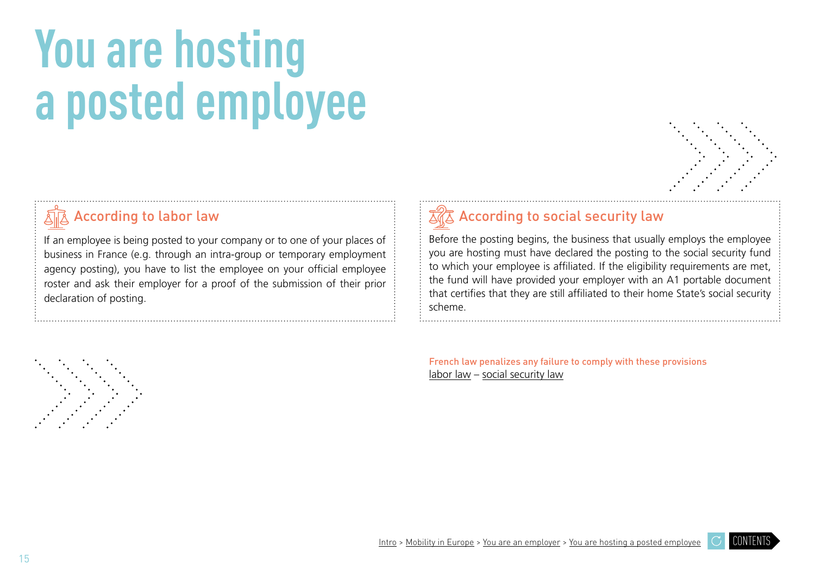# <span id="page-14-0"></span>**You are hosting a posted employee**



### According to labor la[w](#page-6-0)

If an employee is being posted to your company or to one of your places of business in France (e.g. through an intra-group or temporary employment agency posting), you have to list the employee on your official employee roster and ask their employer for a proof of the submission of their prior declaration of posting.

### Accordingto social security law

Before the posting begins, the business that usually employs the employee you are hosting must have declared the posting to the social security fund to which your employee is affiliated. If the eligibility requirements are met, the fund will have provided your employer with an A1 portable document that certifies that they are still affiliated to their home State's social security scheme.

French law penalizes any failure to comply with these provisions labor law – [social](#page-19-0) security law

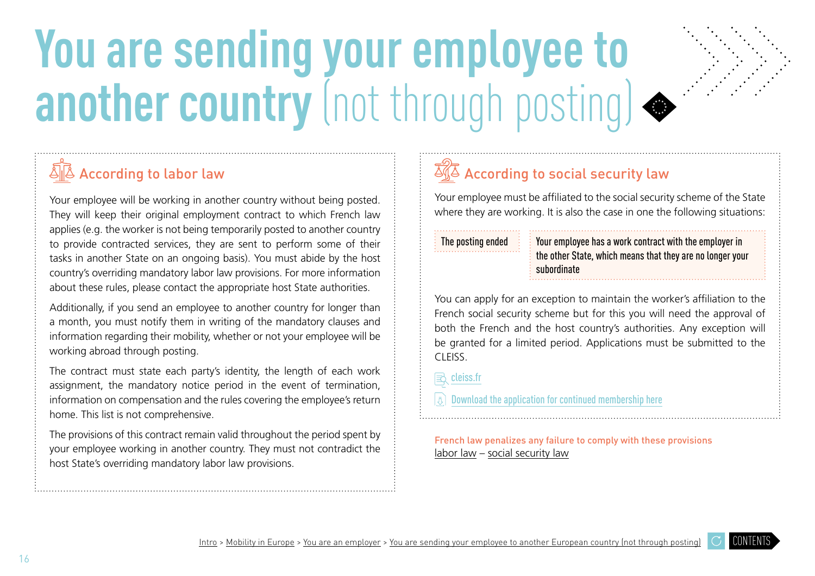# <span id="page-15-0"></span>**You are sending your employee to another country**(not through posting)



# $\sqrt[\Delta]{\mathbb{A}}$  According to labor law

Your employee will be working in another country without being posted. They will keep their original employment contract to which French law applies (e.g. the worker is not being temporarily posted to another country to provide contracted services, they are sent to perform some of their tasks in another State on an ongoing basis). You must abide by the host country's overriding mandatory labor law provisions. For more information about these rules, please contact the appropriate host State authorities.

Additionally, if you send an employee to another country for longer than a month, you must notify them in writing of the mandatory clauses and information regarding their mobility, whether or not your employee will be working abroad through posting.

The contract must state each party's identity, the length of each work assignment, the mandatory notice period in the event of termination, information on compensation and the rules covering the employee's return home. This list is not comprehensive.

The provisions of this contract remain valid throughout the period spent by your employee working in another country. They must not contradict the host State's overriding mandatory labor law provisions.

# $\overline{\mathbb{Z}}\sqrt{\mathbb{Z}}$  A[ccording to social security law](#page-7-0)

Your employee must be affiliated to the social security scheme of the State where they are working. It is also the case in one the following situations:

The posting ended  $\frac{1}{2}$  Your employee has a work contract with the employer in the other State, which means that they are no longer your subordinate

You can apply for an exception to maintain the worker's affiliation to the French social security scheme but for this you will need the approval of both the French and the host country's authorities. Any exception will be granted for a limited period. Applications must be submitted to the CLEISS.

### **B** cleiss[.fr](https://www.cleiss.fr/index_en.html)

 $\lvert \bar{z} \rvert$  [Download the application for continued membership here](https://www.cleiss.fr/pdf/form_detachement_eee.pdf)

French law penalizes any failure to comply with these provisions [labor law](#page-18-0) – [social](#page-19-0) security law

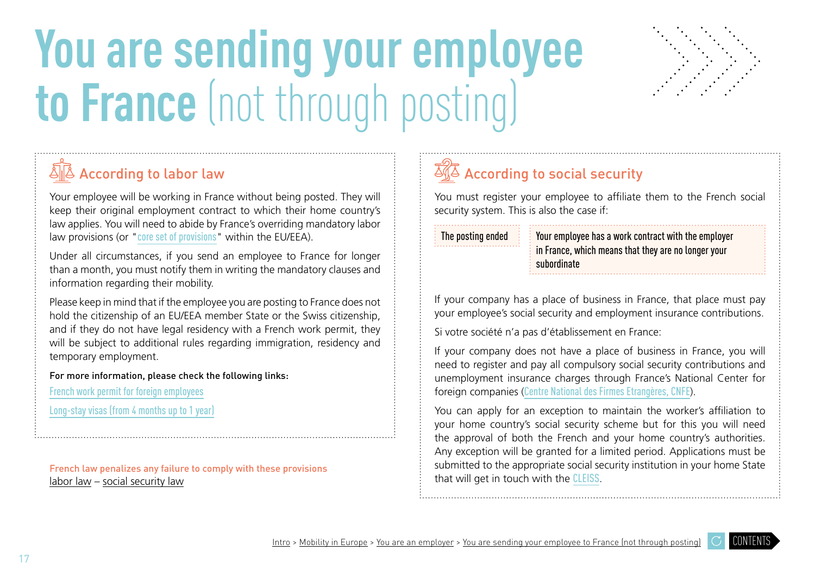# <span id="page-16-0"></span>**You are sending your employee to France**(not through posting)



# $\sqrt{\mathbb{A}}$  According to labor law

Your employee will be working in France without being posted. They will keep their original employment contract to which their home country's law applies. You will need to abide by France's overriding mandatory labor law provisions (or "[core set of provisions](https://travail-emploi.gouv.fr/droit-du-travail/detachement-des-salaries/article/in-brief-posting-of-employees)" within the EU/EEA).

Under all circumstances, if you send an employee to France for longer than a month, you must notify them in writing the mandatory clauses and information regarding their mobility.

Please keep in mind that if the employee you are posting to France does not hold the citizenship of an EU/EEA member State or the Swiss citizenship, and if they do not have legal residency with a French work permit, they will be subject to additional rules regarding immigration, residency and temporary employment.

For more information, please check the following links:

[French work permit for foreign employees](https://www.service-public.fr/particuliers/vosdroits/F2728)

[Long-stay visas \(from 4 months up to 1 year\)](https://www.service-public.fr/particuliers/vosdroits/F16162)

French law penalizes any failure to comply with these provisions [labor law](#page-18-0) – [social](#page-19-0) security law

# $\overline{\mathbb{Z}}\sqrt{\mathbb{Z}}$  According to social security

You must register your employee to affiliate them to the French social security system. This is also the case if:

The posting ended  $\frac{1}{2}$  Your employee has a work contract with the employer in France, which means that they are no longer your subordinate

If your company has a place of business in France, that place must pay your employee's social security and employment insurance contributions.

Si votre société n'a pas d'établissement en France:

If your company does not have a place of business in France, you will need to register and pay all compulsory social security contributions and unemployment insurance charges through France's National Center for foreign companies ([Centre National des Firmes Etrangères, CNFE](https://www.cnfe-urssaf.eu/index.php/fr/)).

You can apply for an exception to maintain the worker's affiliation to your home country's social security scheme but for this you will need the approval of both the French and your home country's authorities. Any exception will be granted for a limited period. Applications must be submitted to the appropriate social security institution in your home State that will get in touch with the [CLEISS](https://www.cleiss.fr/index_en.html).

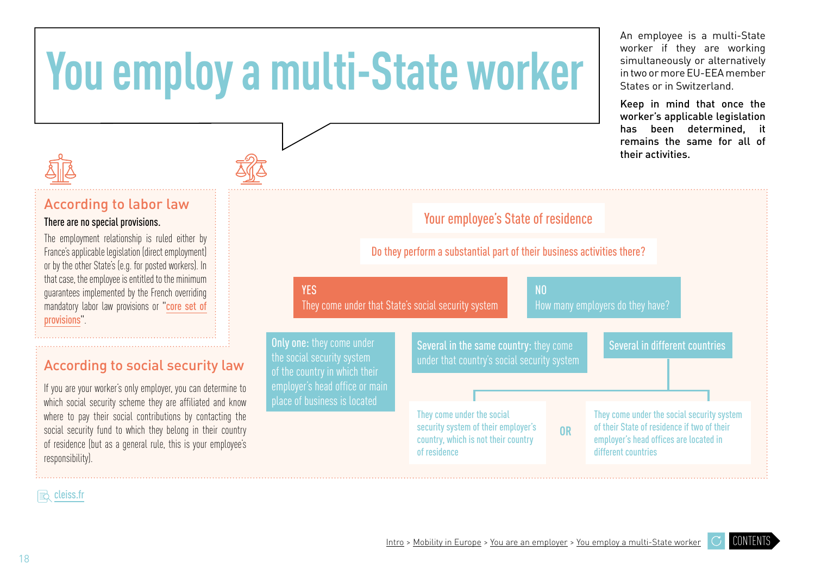# <span id="page-17-0"></span>**You employ a multi-State worker**



### According to labor la[w](#page-6-0)

There are no special provisions.

The employment relationship is ruled either by France's applicable legislation (direct employment) or by the other State's (e.g. for posted workers). In that case, the employee is entitled to the minimum guarantees implemented by the French overriding mandatory labor law provisions or "[core set of](https://travail-emploi.gouv.fr/droit-du-travail/detachement-des-salaries/article/in-brief-posting-of-employees)  [provisions](https://travail-emploi.gouv.fr/droit-du-travail/detachement-des-salaries/article/in-brief-posting-of-employees)

### According to social security la[w](#page-6-0)

If you are your worker's only employer, you can determine to which social security scheme they are affiliated and know where to pay their social contributions by contacting the social security fund to which they belong in their country of residence (but as a general rule, this is your employee's responsibility).

|                                                                                                 | <b>Your employee's State of residence</b>                                                                                |                |                                                                                                                                                            |  |  |  |
|-------------------------------------------------------------------------------------------------|--------------------------------------------------------------------------------------------------------------------------|----------------|------------------------------------------------------------------------------------------------------------------------------------------------------------|--|--|--|
| Do they perform a substantial part of their business activities there?                          |                                                                                                                          |                |                                                                                                                                                            |  |  |  |
| <b>YES</b>                                                                                      | They come under that State's social security system                                                                      | N <sub>0</sub> | How many employers do they have?                                                                                                                           |  |  |  |
| <b>Only one:</b> they come under<br>the social security system<br>of the country in which their | Several in the same country: they come<br>under that country's social security system                                    |                | Several in different countries                                                                                                                             |  |  |  |
| employer's head office or main<br>place of business is located                                  |                                                                                                                          |                |                                                                                                                                                            |  |  |  |
|                                                                                                 | They come under the social<br>security system of their employer's<br>country, which is not their country<br>of residence | <b>OR</b>      | They come under the social security system<br>of their State of residence if two of their<br>employer's head offices are located in<br>different countries |  |  |  |

An employee is a multi-State worker if they are working simultaneously or alternatively in two or more EU-EEA member States or in Switzerland.

Keep in mind that once the worker's applicable legislation has been determined, it remains the same for all of their activities.

 $\Rightarrow$  cleis[s.fr](https://www.cleiss.fr/index_en.html)

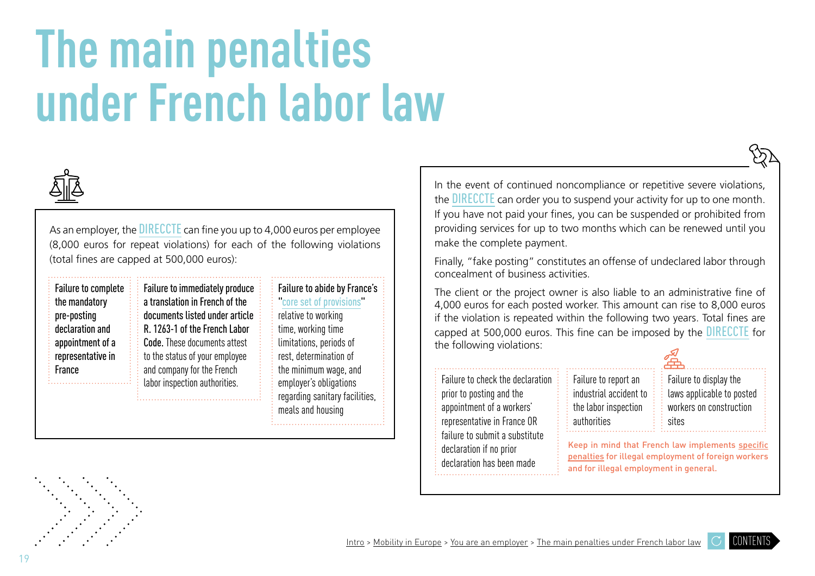# <span id="page-18-0"></span>**The main penalties under French labor law**



As an employer, the **[DIRECCTE](http://direccte.gouv.fr/La-Direccte-votre-interlocuteur-unique)** can fine you up to 4,000 euros per employee (8,000 euros for repeat violations) for each of the following violations (total fines are capped at 500,000 euros):

|                                                                                                                 |                                                                                                                                                                                                              |                                                                                                                                                          | CONCEANTIENT OF DUSTRESS ACTIVITIES.                                                                                                                                                                                            |
|-----------------------------------------------------------------------------------------------------------------|--------------------------------------------------------------------------------------------------------------------------------------------------------------------------------------------------------------|----------------------------------------------------------------------------------------------------------------------------------------------------------|---------------------------------------------------------------------------------------------------------------------------------------------------------------------------------------------------------------------------------|
| Failure to complete<br>the mandatory<br>pre-posting<br>declaration and<br>appointment of a<br>representative in | Failure to immediately produce<br>a translation in French of the<br>documents listed under article<br>R. 1263-1 of the French Labor<br><b>Code.</b> These documents attest<br>to the status of your employee | Failure to abide by France's<br>core set of provisions<br>relative to working<br>time, working time<br>limitations, periods of<br>rest, determination of | The client or the project owner is also liable<br>4,000 euros for each posted worker. This amo<br>if the violation is repeated within the followin<br>capped at 500,000 euros. This fine can be im<br>the following violations: |
| France                                                                                                          | and company for the French<br>labor inspection authorities.                                                                                                                                                  | the minimum wage, and<br>employer's obligations<br>regarding sanitary facilities,<br>meals and housing                                                   | Failure to check the declaration<br>Failure to report an<br>industrial accident<br>prior to posting and the<br>appointment of a workers'<br>the labor inspection                                                                |

In the event of continued noncompliance or repetitive severe violations, the **[DIRECCTE](http://direccte.gouv.fr/La-Direccte-votre-interlocuteur-unique)** can order you to suspend your activity for up to one month. If you have not paid your fines, you can be suspended or prohibited from providing services for up to two months which can be renewed until you make the complete payment.

Finally, "fake posting" constitutes an offense of undeclared labor through concealment of business activities.

The client or the project owner is also liable to an administrative fine of 4,000 euros for each posted worker. This amount can rise to 8,000 euros if the violation is repeated within the following two years. Total fines are capped at 500,000 euros. This fine can be imposed by the [DIRECCTE](http://direccte.gouv.fr/La-Direccte-votre-interlocuteur-unique) for the following violations:

> industrial accident to the labor inspection

authorities

prior to posting and the appointment of a workers' representative in France OR failure to submit a substitute declaration if no prior declaration has been made

Failure to display the laws applicable to posted workers on construction sites

Keep in mind that French law implements [specific](https://travail-emploi.gouv.fr/droit-du-travail/lutte-contre-le-travail-illegal-10802/article/les-sanctions-liees-au-travail-illegal)  [penalties](https://travail-emploi.gouv.fr/droit-du-travail/lutte-contre-le-travail-illegal-10802/article/les-sanctions-liees-au-travail-illegal) for illegal employment of foreign workers and for illegal employment in general.



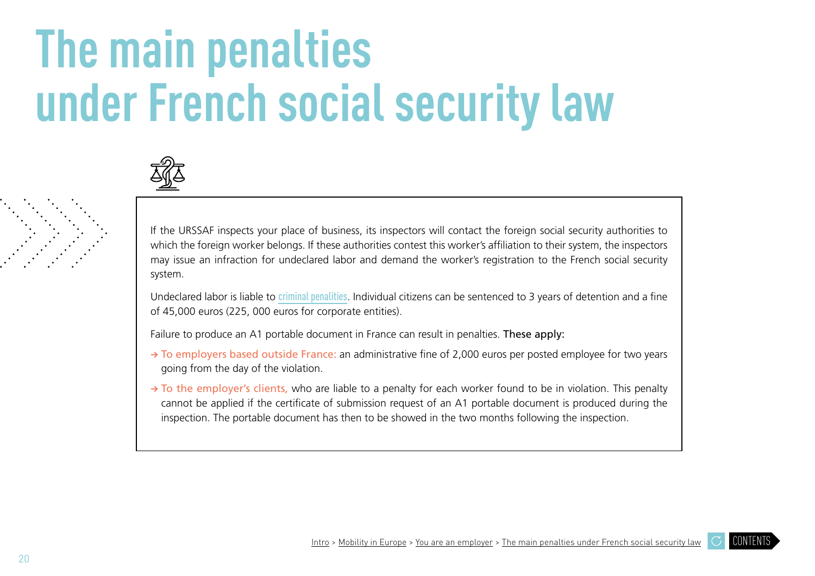# <span id="page-19-0"></span>**The main penalties under French social security law**



If the URSSAF inspects your place of business, its inspectors will contact the foreign social security authorities to which the foreign worker belongs. If these authorities contest this worker's affiliation to their system, the inspectors may issue an infraction for undeclared labor and demand the worker's registration to the French social security system.

Undeclared labor is liable to [criminal penalities](https://travail-emploi.gouv.fr/droit-du-travail/lutte-contre-le-travail-illegal-10802/article/les-sanctions-liees-au-travail-illegal). Individual citizens can be sentenced to 3 years of detention and a fine of 45,000 euros (225, 000 euros for corporate entities).

Failure to produce an A1 portable document in France can result in penalties. These apply:

- **→** To employers based outside France: an administrative fine of 2,000 euros per posted employee for two years going from the day of the violation.
- **→** To the employer's clients, who are liable to a penalty for each worker found to be in violation. This penalty cannot be applied if the certificate of submission request of an A1 portable document is produced during the inspection. The portable document has then to be showed in the two months following the inspection.

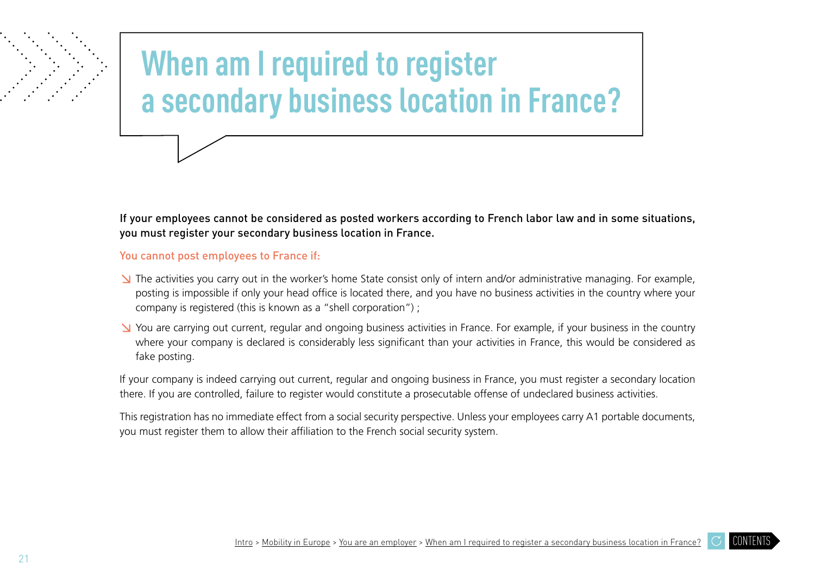# <span id="page-20-0"></span>**When am I required to register a secondary business location in France?**

If your employees cannot be considered as posted workers according to French labor law and in some situations, you must register your secondary business location in France.

You cannot post employees to France if:

- ↘ The activities you carry out in the worker's home State consist only of intern and/or administrative managing. For example, posting is impossible if only your head office is located there, and you have no business activities in the country where your company is registered (this is known as a "shell corporation") ;
- ↘ You are carrying out current, regular and ongoing business activities in France. For example, if your business in the country where your company is declared is considerably less significant than your activities in France, this would be considered as fake posting.

If your company is indeed carrying out current, regular and ongoing business in France, you must register a secondary location there. If you are controlled, failure to register would constitute a prosecutable offense of undeclared business activities.

This registration has no immediate effect from a social security perspective. Unless your employees carry A1 portable documents, you must register them to allow their affiliation to the French social security system.

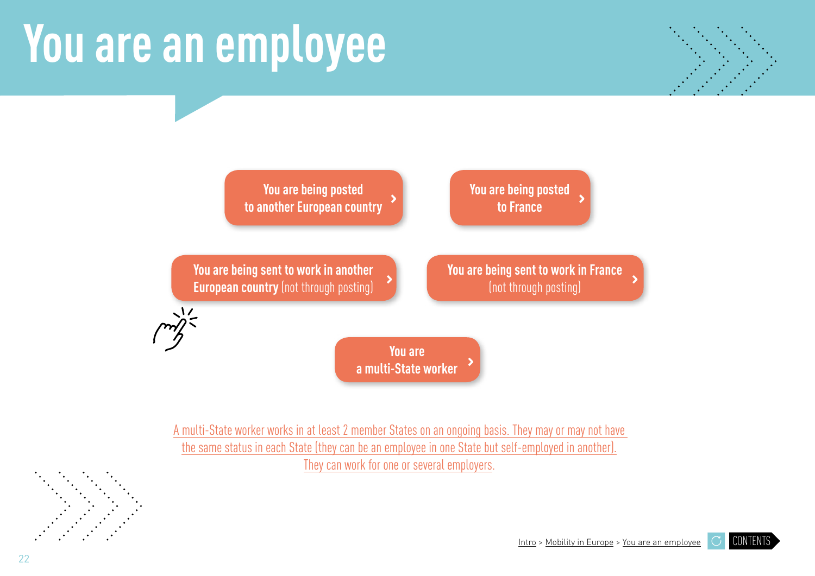# <span id="page-21-0"></span>**You are an employee**





[A multi-State worker works in at least 2 member States on an ongoing basis. They may or may not have](#page-8-0)  [the same status in each State \(they can be an employee in one State but self-employed in another\).](#page-8-0) [They can work for one or several employers.](#page-8-0)

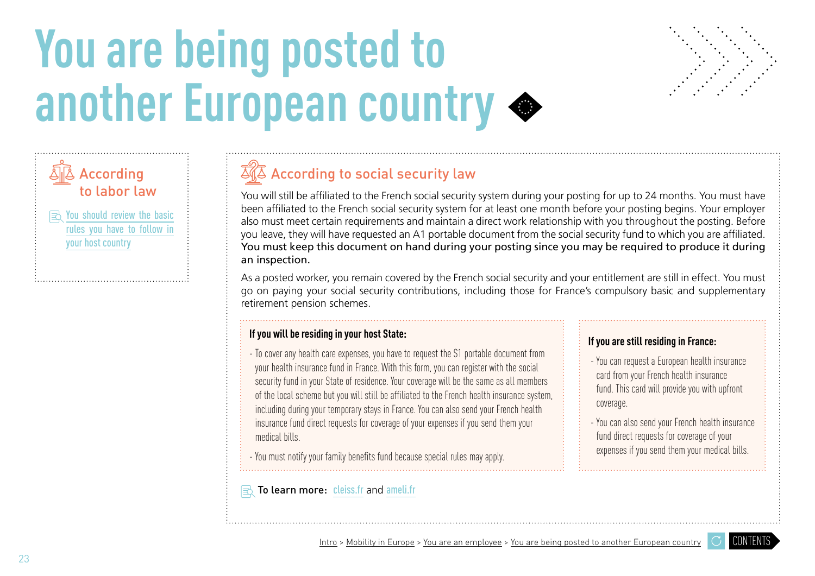# <span id="page-22-0"></span>**You are being posted to another European country**





You will still be affiliated to the French social security system during your posting for up to 24 months. You must have been affiliated to the French social security system for at least one month before your posting begins. Your employer also must meet certain requirements and maintain a direct work relationship with you throughout the posting. Before you leave, they will have requested an A1 portable document from the social security fund to which you are affiliated. You must keep this document on hand during your posting since you may be required to produce it during an inspection.

As a posted worker, you remain covered by the French social security and your entitlement are still in effect. You must go on paying your social security contributions, including those for France's compulsory basic and supplementary retirement pension schemes.

#### **If you will be residing in your host State:**

- To cover any health care expenses, you have to request the S1 portable document from your health insurance fund in France. With this form, you can register with the social security fund in your State of residence. Your coverage will be the same as all members of the local scheme but you will still be affiliated to the French health insurance system, including during your temporary stays in France. You can also send your French health insurance fund direct requests for coverage of your expenses if you send them your medical bills.

- You must notify your family benefits fund because special rules may apply.

#### To learn more: [cleiss.fr](https://www.cleiss.fr/index_en.html) and [ameli.fr](https://www.ameli.fr/paris)

### **If you are still residing in France:**

 - You can request a European health insurance card from your French health insurance fund. This card will provide you with upfront coverage.

 - You can also send your French health insurance fund direct requests for coverage of your expenses if you send them your medical bills.

[CONTENTS](#page-3-0)



According to labor law

 $\mathbf{R}$  You should review the basic [rules you have to follow in](https://europa.eu/youreurope/citizens/work/work-abroad/posted-workers/index_fr.htm) 

[your host country](https://europa.eu/youreurope/citizens/work/work-abroad/posted-workers/index_fr.htm)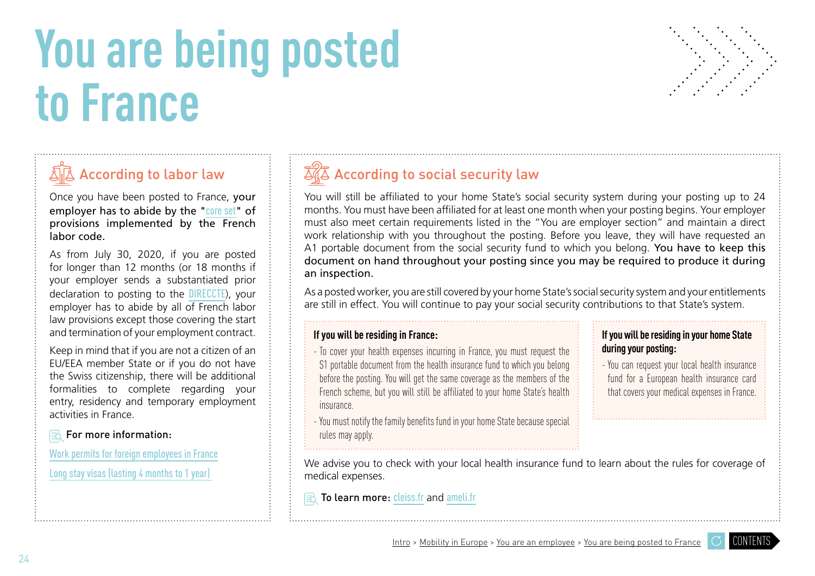# <span id="page-23-0"></span>**You are being posted to France**



# $\sqrt[\mathbb{A}]{\mathbb{A}}$  According to labor law

Once you have been posted to France, your employer has to abide by the "[core set](https://travail-emploi.gouv.fr/droit-du-travail/detachement-des-salaries/article/in-brief-posting-of-employees)" of provisions implemented by the French labor code.

As from July 30, 2020, if you are posted for longer than 12 months (or 18 months if your employer sends a substantiated prior declaration to posting to the [DIRECCTE](http://direccte.gouv.fr/La-Direccte-votre-interlocuteur-unique)), your employer has to abide by all of French labor law provisions except those covering the start and termination of your employment contract.

Keep in mind that if you are not a citizen of an EU/EEA member State or if you do not have the Swiss citizenship, there will be additional formalities to complete regarding your entry, residency and temporary employment activities in France.

### **For more information:**

[Work permits for foreign employees in France](https://www.service-public.fr/particuliers/vosdroits/F2728)

[Long stay visas \(lasting 4 months to 1 year\)](https://www.service-public.fr/particuliers/vosdroits/F16162) 

# $\overline{\mathbb{Z}}\sqrt{\mathbb{Z}}$  According to social security law

You will still be affiliated to your home State's social security system during your posting up to 24 months. You must have been affiliated for at least one month when your posting begins. Your employer must also meet certain requirements listed in the "You are employer section" and maintain a direct work relationship with you throughout the posting. Before you leave, they will have requested an A1 portable document from the social security fund to which you belong. You have to keep this document on hand throughout your posting since you may be required to produce it during an inspection.

As a posted worker, you are still covered by your home State's social security system and your entitlements are still in effect. You will continue to pay your social security contributions to that State's system.

### **If you will be residing in France:**

- To cover your health expenses incurring in France, you must request the S1 portable document from the health insurance fund to which you belong before the posting. You will get the same coverage as the members of the French scheme, but you will still be affiliated to your home State's health insurance.

- **If you will be residing in your home State during your posting:**
- You can request your local health insurance fund for a European health insurance card that covers your medical expenses in France.
- You must notify the family benefits fund in your home State because special rules may apply.
- We advise you to check with your local health insurance fund to learn about the rules for coverage of medical expenses.

### To learn more: [cleiss.fr](https://www.cleiss.fr/index_en.html) and [ameli.fr](https://www.ameli.fr/paris)

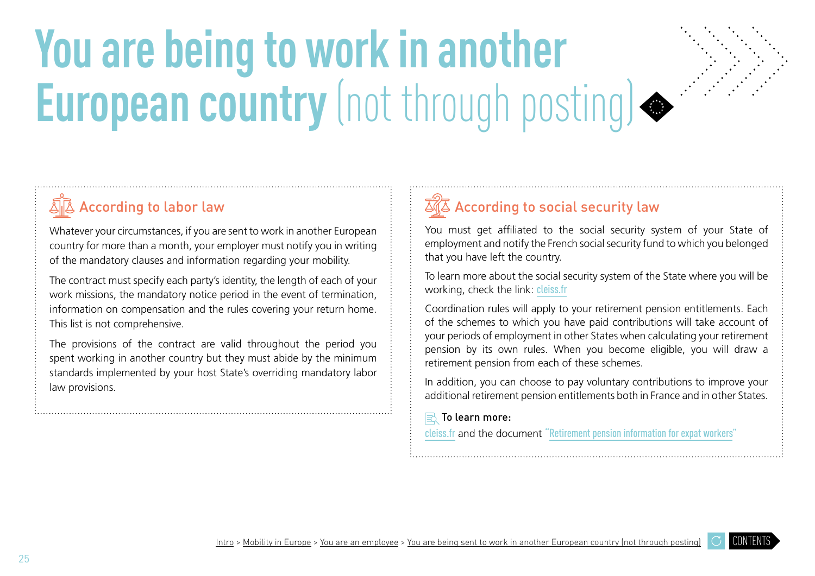# <span id="page-24-0"></span>**You are being to work in another European country** (not through posting)



# According to labor law

Whatever your circumstances, if you are sent to work in another European country for more than a month, your employer must notify you in writing of the mandatory clauses and information regarding your mobility.

The contract must specify each party's identity, the length of each of your work missions, the mandatory notice period in the event of termination, information on compensation and the rules covering your return home. This list is not comprehensive.

The provisions of the contract are valid throughout the period you spent working in another country but they must abide by the minimum standards implemented by your host State's overriding mandatory labor law provisions.

## $\overline{\mathbb{Z}}\sqrt{\mathbb{Z}}$  According to social security law

You must get affiliated to the social security system of your State of employment and notify the French social security fund to which you belonged that you have left the country.

To learn more about the social security system of the State where you will be working, check the link: [cleiss.fr](https://www.cleiss.fr/index_en.html)

Coordination rules will apply to your retirement pension entitlements. Each of the schemes to which you have paid contributions will take account of your periods of employment in other States when calculating your retirement pension by its own rules. When you become eligible, you will draw a retirement pension from each of these schemes.

In addition, you can choose to pay voluntary contributions to improve your additional retirement pension entitlements both in France and in other States.

#### $\mathbf{E}$  To learn more:

[cleiss.fr](https://www.cleiss.fr/index_en.html) and the document ["Retirement pension information for expat workers"](https://www.lassuranceretraite.fr/media/flash/guide-expatries/index.html#p=6)

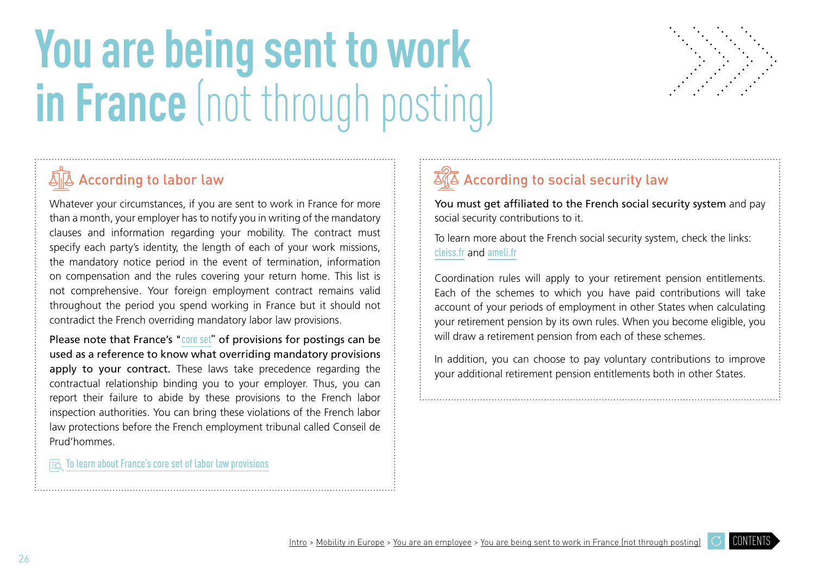# <span id="page-25-0"></span>**You are being sent to work in France** (not through posting)



## $\widehat{\mathbb{S}}\widetilde{\mathbb{R}}$  [According to labor law](#page-6-0)

Whatever your circumstances, if you are sent to work in France for more than a month, your employer has to notify you in writing of the mandatory clauses and information regarding your mobility. The contract must specify each party's identity, the length of each of your work missions, the mandatory notice period in the event of termination, information on compensation and the rules covering your return home. This list is not comprehensive. Your foreign employment contract remains valid throughout the period you spend working in France but it should not contradict the French overriding mandatory labor law provisions.

Please note that France's "[core set](https://travail-emploi.gouv.fr/droit-du-travail/detachement-des-salaries/article/in-brief-posting-of-employees)" of provisions for postings can be used as a reference to know what overriding mandatory provisions apply to your contract. These laws take precedence regarding the contractual relationship binding you to your employer. Thus, you can report their failure to abide by these provisions to the French labor inspection authorities. You can bring these violations of the French labor law protections before the French employment tribunal called Conseil de Prud'hommes.

 $\mathbf{R}$  [To learn about France's core set of labor law provisions](https://travail-emploi.gouv.fr/droit-du-travail/detachement-des-salaries/article/in-brief-posting-of-employees)

# $\overline{\mathbb{Z}}\sqrt{\mathbb{Z}}$  According to social security law

You must get affiliated to the French social security system and pay social security contributions to it.

To learn more about the French social security system, check the links: [cleiss.fr](https://www.cleiss.fr/index_en.html) and [ameli.fr](https://www.ameli.fr/paris)

Coordination rules will apply to your retirement pension entitlements. Each of the schemes to which you have paid contributions will take account of your periods of employment in other States when calculating your retirement pension by its own rules. When you become eligible, you will draw a retirement pension from each of these schemes.

In addition, you can choose to pay voluntary contributions to improve your additional retirement pension entitlements both in other States.

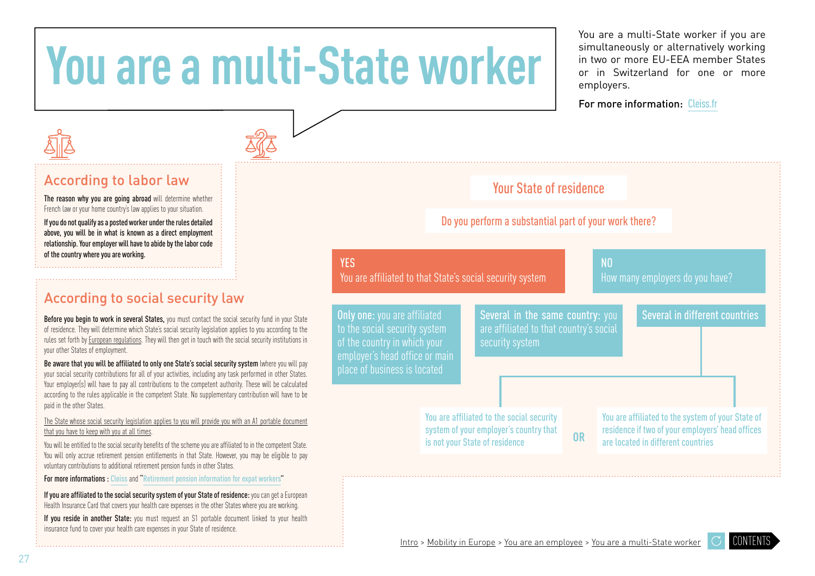# <span id="page-26-0"></span>**You are a multi-State worker**

You are a multi-State worker if you are simultaneously or alternatively working in two or more EU-EEA member States or in Switzerland for one or more employers.

For more information: [Cleiss.fr](https://www.cleiss.fr/index_en.html)

### According to labor la[w](#page-6-0)

The reason why you are going abroad will determine whether French law or your home country's law applies to your situation.

If you do not qualify as a posted worker under the rules detailed above, you will be in what is known as a direct employment relationship. Your employer will have to abide by the labor code of the country where you are working.

### According to social security la[w](#page-6-0)

Before you begin to work in several States, you must contact the social security fund in your State of residence. They will determine which State's social security legislation applies to you according to the rules set forth by [European regulations](#page-5-0). They will then get in touch with the social security institutions in your other States of employment.

Be aware that you will be affiliated to only one State's social security system lwhere you will pay your social security contributions for all of your activities, including any task performed in other States. Your employer(s) will have to pay all contributions to the competent authority. These will be calculated according to the rules applicable in the competent State. No supplementary contribution will have to be paid in the other States.

[The State whose social security legislation applies to you will provide you with an A1 portable document](#page-8-0)  [that you have to keep with you at all times.](#page-8-0) 

You will be entitled to the social security benefits of the scheme you are affiliated to in the competent State. You will only accrue retirement pension entitlements in that State. However, you may be eligible to pay voluntary contributions to additional retirement pension funds in other States.

For more informations : [Cleiss](https://www.cleiss.fr/index_en.html) and ["Retirement pension information for expat workers"](https://www.lassuranceretraite.fr/media/flash/guide-expatries/index.html#p=6)

If you are affiliated to the social security system of your State of residence: you can get a European Health Insurance Card that covers your health care expenses in the other States where you are working.

If you reside in another State: you must request an S1 portable document linked to your health insurance fund to cover your health care expenses in your State of residence.



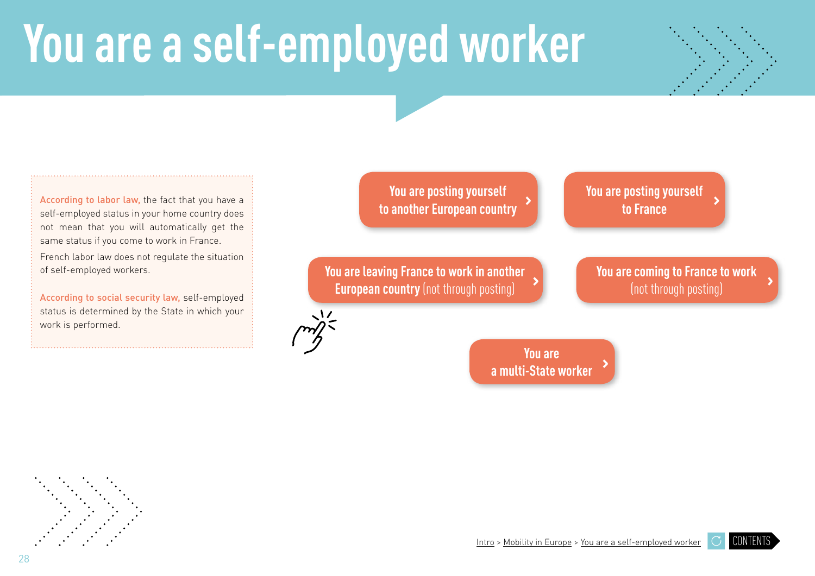# <span id="page-27-0"></span>**You are a self-employed worker**



According to labor law, the fact that you have a self-employed status in your home country does not mean that you will automatically get the same status if you come to work in France. French labor law does not regulate the situation

of self-employed workers.

According to social security law, self-employed status is determined by the State in which your work is performed.

**You are posting yourself [to another European country](#page-28-0)**

**[You are leaving France to work in another](#page-30-0)  European countr[y](#page-24-0)** (not through posting)

**[You are posting yourself](#page-29-0) to France**

**[You are coming to France to work](#page-31-0)** (not through posting)

**You are [a multi-State worker](#page-32-0)**

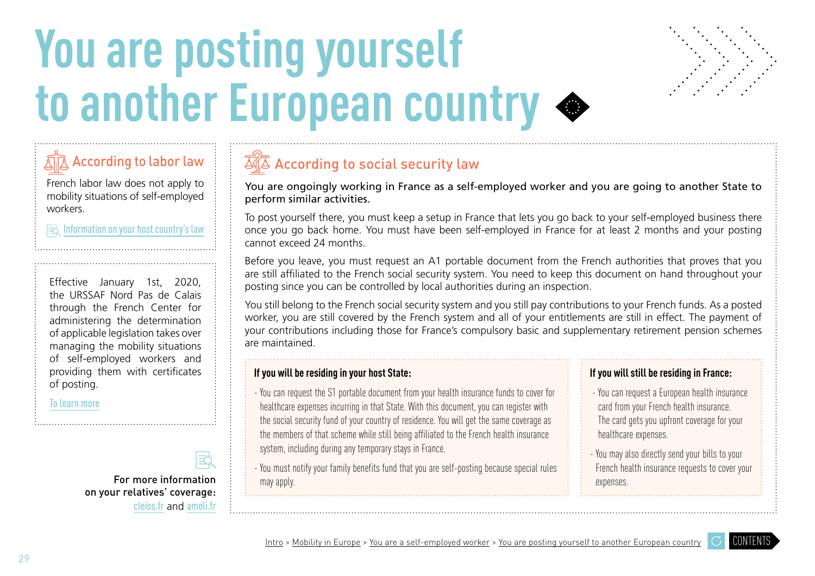# <span id="page-28-0"></span>You are posting yourself **to another European country**



AAccording to labor law

French labor law does not apply to mobility situations of self-employed workers.

#### $\mathbf{R}$  Information on your host country's law

Effective January 1st, 2020, the URSSAF Nord Pas de Calais through the French Center for administering the determination of applicable legislation takes over managing the mobility situations of self-employed workers and providing them with certificates of posting.

[To learn more](https://www.urssaf.fr/portail/home/independant/ma-situation-ou-mes-coordonnees/je-souhaite-travailler-hors-de-f.html)

on your relatives' coverage: [cleiss.fr](https://www.cleiss.fr/index_en.html) and [ameli.fr](https://www.ameli.fr/paris)

터



You are ongoingly working in France as a self-employed worker and you are going to another State to perform similar activities.

To post yourself there, you must keep a setup in France that lets you go back to your self-employed business there once you go back home. You must have been self-employed in France for at least 2 months and your posting cannot exceed 24 months.

Before you leave, you must request an A1 portable document from the French authorities that proves that you are still affiliated to the French social security system. You need to keep this document on hand throughout your posting since you can be controlled by local authorities during an inspection.

You still belong to the French social security system and you still pay contributions to your French funds. As a posted worker, you are still covered by the French system and all of your entitlements are still in effect. The payment of your contributions including those for France's compulsory basic and supplementary retirement pension schemes are maintained.

#### **If you will be residing in your host State:**

- You can request the S1 portable document from your health insurance funds to cover for healthcare expenses incurring in that State. With this document, you can register with the social security fund of your country of residence. You will get the same coverage as the members of that scheme while still being affiliated to the French health insurance system, including during any temporary stays in France.

- You must notify your family benefits fund that you are self-posting because special rules may apply. For more information  $\begin{array}{c} \vdots \\ \end{array}$  may apply.

#### **If you will still be residing in France:**

- You can request a European health insurance card from your French health insurance. The card gets you upfront coverage for your healthcare expenses.
- You may also directly send your bills to your French health insurance requests to cover your

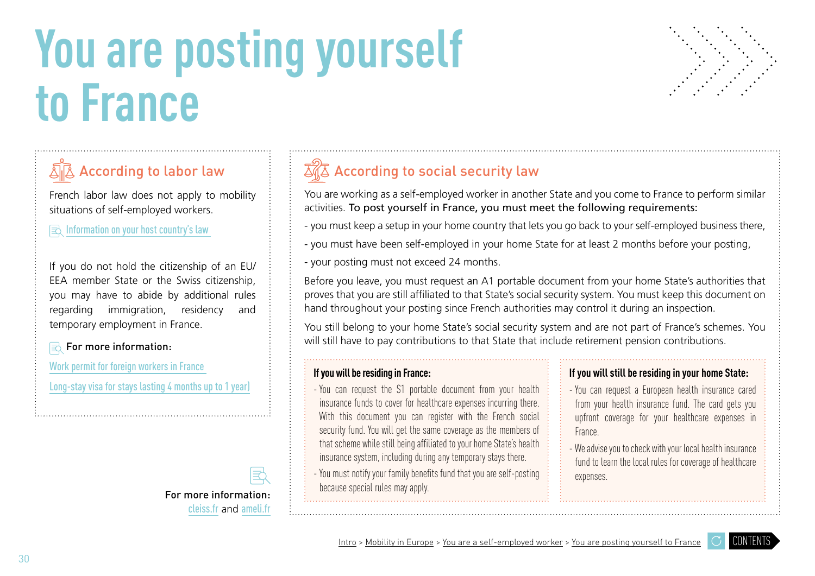# <span id="page-29-0"></span>**You are posting yourself to France**



# According to labor law

French labor law does not apply to mobility situations of self-employed workers.

 $\mathbf{R}$  Information on your host country's law

If you do not hold the citizenship of an EU/ EEA member State or the Swiss citizenship, you may have to abide by additional rules regarding immigration, residency and temporary employment in France.

### **For more information:**

[Work permit for foreign workers in France](https://www.service-public.fr/particuliers/vosdroits/F2728) 

[Long-stay visa for stays lasting 4 months up to 1 year\)](https://www.service-public.fr/particuliers/vosdroits/F16162)



#### For more information: [cleiss.fr](https://www.cleiss.fr/index_en.html) and [ameli.fr](https://www.ameli.fr/paris)

# $\overline{\mathbb{Z}}\sqrt{\mathbb{Z}}$  According to social security law

You are working as a self-employed worker in another State and you come to France to perform similar activities. To post yourself in France, you must meet the following requirements:

- you must keep a setup in your home country that lets you go back to your self-employed business there,

- you must have been self-employed in your home State for at least 2 months before your posting,

- your posting must not exceed 24 months.

Before you leave, you must request an A1 portable document from your home State's authorities that proves that you are still affiliated to that State's social security system. You must keep this document on hand throughout your posting since French authorities may control it during an inspection.

You still belong to your home State's social security system and are not part of France's schemes. You will still have to pay contributions to that State that include retirement pension contributions.

#### **If you will be residing in France:**

- You can request the S1 portable document from your health insurance funds to cover for healthcare expenses incurring there. With this document you can register with the French social security fund. You will get the same coverage as the members of that scheme while still being affiliated to your home State's health insurance system, including during any temporary stays there.

- You must notify your family benefits fund that you are self-posting because special rules may apply.

#### **If you will still be residing in your home State:**

- You can request a European health insurance cared from your health insurance fund. The card gets you upfront coverage for your healthcare expenses in France.

- We advise you to check with your local health insurance fund to learn the local rules for coverage of healthcare expenses.

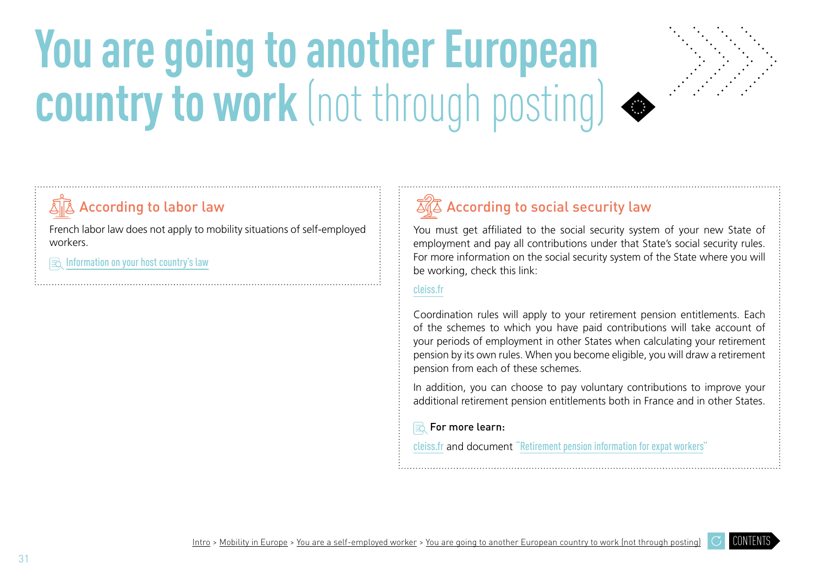# <span id="page-30-0"></span>**You are going to another European country to work** (not through posting)



### According to labor law

French labor law does not apply to mobility situations of self-employed workers.

Information on your host country's law

# $\overline{\mathbb{Z}}\sqrt{\mathbb{Z}}$  According to social security law

You must get affiliated to the social security system of your new State of employment and pay all contributions under that State's social security rules. For more information on the social security system of the State where you will be working, check this link:

#### [cleiss.fr](https://www.cleiss.fr/index_en.html)

Coordination rules will apply to your retirement pension entitlements. Each of the schemes to which you have paid contributions will take account of your periods of employment in other States when calculating your retirement pension by its own rules. When you become eligible, you will draw a retirement pension from each of these schemes.

In addition, you can choose to pay voluntary contributions to improve your additional retirement pension entitlements both in France and in other States.

#### ■ For more learn:

[cleiss.fr](https://www.cleiss.fr/index_en.html) and document ["Retirement pension information for expat workers"](https://www.lassuranceretraite.fr/media/flash/guide-expatries/index.html#p=6)

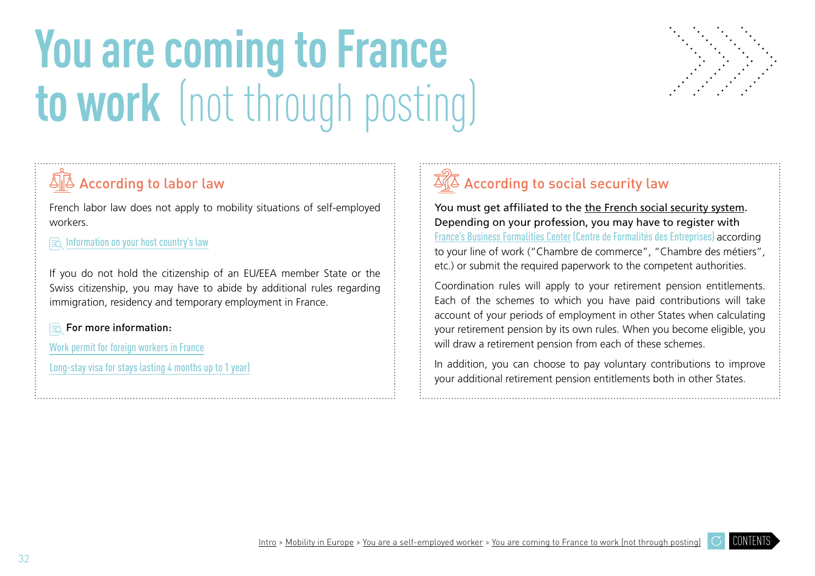# <span id="page-31-0"></span>**You are coming to France to work** (not through posting)



## $\sqrt{\mathbb{A}}$  According to labor law

French labor law does not apply to mobility situations of self-employed workers.

 $\mathbf{R}$  [Information on your host country's law](https://www.diplomatie.gouv.fr/fr/services-aux-francais/preparer-son-expatriation/dossiers-pays-de-l-expatriation/)

If you do not hold the citizenship of an EU/EEA member State or the Swiss citizenship, you may have to abide by additional rules regarding immigration, residency and temporary employment in France.

■ For more information:

[Work permit for foreign workers in France](https://www.service-public.fr/particuliers/vosdroits/F2728)

[Long-stay visa for stays lasting 4 months up to 1 year\)](https://www.service-public.fr/particuliers/vosdroits/F16162)

# $\overline{\mathbb{Z}}\sqrt{\mathbb{Z}}$  According to social security law

You must get affiliated to th[e](https://www.cleiss.fr/docs/regimes/regime_france_index.html) the French social security system. Depending on your profession, you may have to register with [France's Business Formalities Center \(Centre de Formalités des Entreprises\)](https://www.cfe.urssaf.fr/saisiepl/) according to your line of work ("Chambre de commerce", "Chambre des métiers", etc.) or submit the required paperwork to the competent authorities.

Coordination rules will apply to your retirement pension entitlements. Each of the schemes to which you have paid contributions will take account of your periods of employment in other States when calculating your retirement pension by its own rules. When you become eligible, you will draw a retirement pension from each of these schemes.

In addition, you can choose to pay voluntary contributions to improve your additional retirement pension entitlements both in other States.

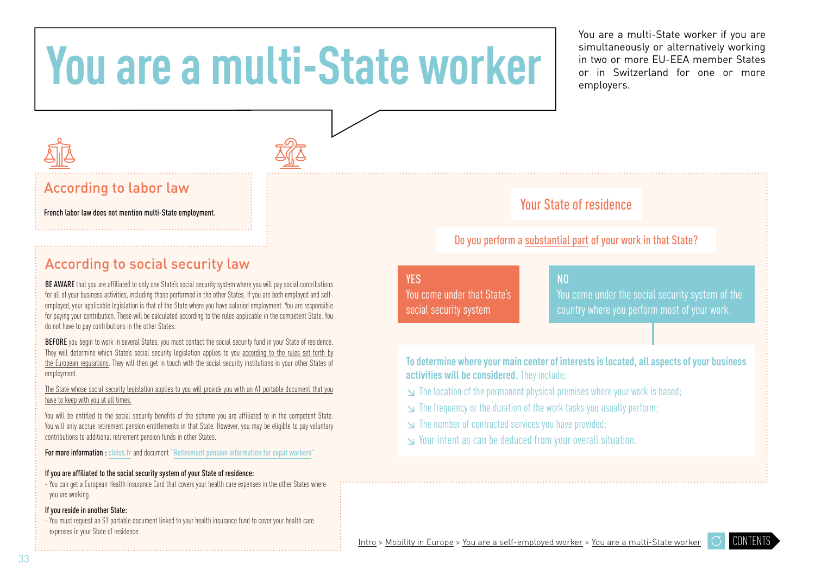# <span id="page-32-0"></span>**You are a multi-State worker**

You are a multi-State worker if you are simultaneously or alternatively working in two or more EU-EEA member States or in Switzerland for one or more employers.

### According to labor la[w](#page-6-0)

### According to social security law

BE AWARE that you are affiliated to only one State's social security system where you will pay social contributions for all of your business activities, including those performed in the other States. If you are both employed and selfemployed, your applicable legislation is that of the State where you have salaried employment. You are responsible for paying your contribution. These will be calculated according to the rules applicable in the competent State. You do not have to pay contributions in the other States.

BEFORE you begin to work in several States, you must contact the social security fund in your State of residence. They will determine which State's social security legislation applies to you according to the rules set forth by the European regulations. They will then get in touch with the social security institutions in your other States of employment.

The State whose social security legislation applies to you will provide you with an A1 portable document that you have to keep with you at all times.

You will be entitled to the social security benefits of the scheme you are affiliated to in the competent State. You will only accrue retirement pension entitlements in that State. However, you may be eligible to pay voluntary contributions to additional retirement pension funds in other States.

For more information : [cleiss.fr](https://www.cleiss.fr/index_en.html) and document ["Retirement pension information for expat workers"](https://www.lassuranceretraite.fr/media/flash/guide-expatries/index.html#p=6)

#### If you are affiliated to the social security system of your State of residence:

- You can get a European Health Insurance Card that covers your health care expenses in the other States where you are working.

#### If you reside in another State:

- You must request an S1 portable document linked to your health insurance fund to cover your health care expenses in your State of residence.



### French labor law does not mention multi-State employment.

### Do you perform a substantial part of your work in that State?

### **YES**

You come under that State's social security system

### NO

You come under the social security system of the

**To determine where your main center of interests is located, all aspects of your business activities will be considered.** They include:

- ↘ The location of the permanent physical premises where your work is based;
- ↘ The frequency or the duration of the work tasks you usually perform;
- ↘ The number of contracted services you have provided;
- ↘ Your intent as can be deduced from your overall situation.

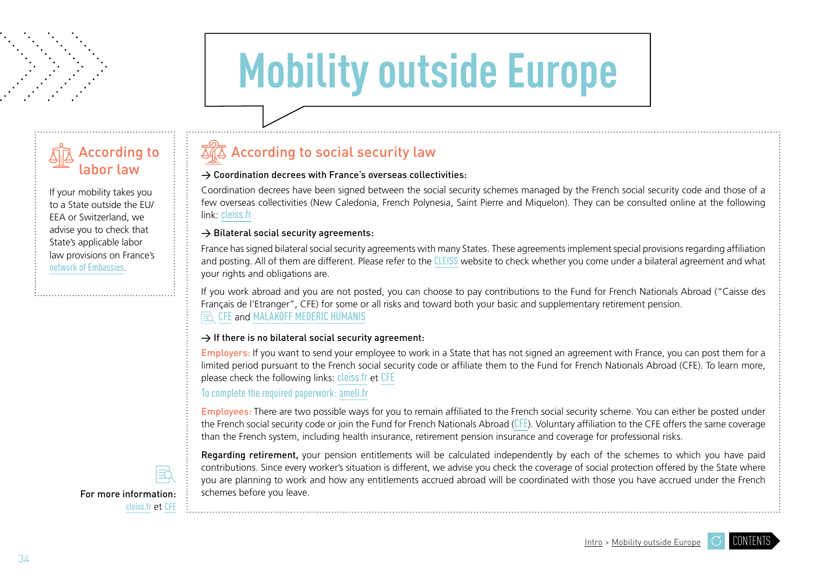# **Mobility outside Europe**

<span id="page-33-0"></span>

If your mobility takes you to a State outside the EU/ EEA or Switzerland, we advise you to check that State's applicable labor law provisions on France's [network of Embassies](https://www.diplomatie.gouv.fr/fr/services-aux-francais/preparer-son-expatriation/dossiers-pays-de-l-expatriation/).

### $\overline{\mathbb{Z}}\sqrt{\mathbb{Z}}$  According to social security la[w](#page-7-0)

#### $\rightarrow$  Coordination decrees with France's overseas collectivities:

Coordination decrees have been signed between the social security schemes managed by the French social security code and those of a few overseas collectivities (New Caledonia, French Polynesia, Saint Pierre and Miquelon). They can be consulted online at the following link: [cleiss.fr](https://www.cleiss.fr/index_en.html)

#### $\rightarrow$  Bilateral social security agreements:

France has signed bilateral social security agreements with many States. These agreements implement special provisions regarding affiliation and posting. All of them are different. Please refer to the [CLEISS](https://www.cleiss.fr/index_en.html) website to check whether you come under a bilateral agreement and what your rights and obligations are.

If you work abroad and you are not posted, you can choose to pay contributions to the Fund for French Nationals Abroad ("Caisse des Français de l'Etranger", CFE) for some or all risks and toward both your basic and supplementary retirement pension. ES [CFE](https://www.cfe.fr/?utm_source=google%20ads&utm_medium=cpc&utm_campaign=specific%20url&gclid=EAIaIQobChMIr-qUo-my5gIVQcDeCh3y9giIEAAYASAAEgK71PD_BwE) and [MALAKOFF MEDERIC HUMANIS](https://www.malakoffhumanis.com/)

#### $\rightarrow$  If there is no bilateral social security agreement:

Employers: If you want to send your employee to work in a State that has not signed an agreement with France, you can post them for a limited period pursuant to the French social security code or affiliate them to the Fund for French Nationals Abroad (CFE). To learn more, please check the following links: [cleiss.fr](https://www.cleiss.fr/index_en.html) et [CFE](https://www.cfe.fr/?utm_source=google%20ads&utm_medium=cpc&utm_campaign=specific%20url&gclid=EAIaIQobChMIr-qUo-my5gIVQcDeCh3y9giIEAAYASAAEgK71PD_BwE)

To complete the required paperwork: [ameli.fr](https://www.ameli.fr/paris)

Employees: There are two possible ways for you to remain affiliated to the French social security scheme. You can either be posted under the French social security code or join the Fund for French Nationals Abroad ([CFE](https://www.cfe.fr/en/?utm_source=google%20ads&utm_medium=cpc&utm_campaign=specific%20url&gclid=EAIaIQobChMIr-qUo-my5gIVQcDeCh3y9giIEAAYASAAEgK71PD_BwE)). Voluntary affiliation to the CFE offers the same coverage than the French system, including health insurance, retirement pension insurance and coverage for professional risks.

Regarding retirement, your pension entitlements will be calculated independently by each of the schemes to which you have paid contributions. Since every worker's situation is different, we advise you check the coverage of social protection offered by the State where you are planning to work and how any entitlements accrued abroad will be coordinated with those you have accrued under the French For more information:  $\vdots$  schemes before you leave.

[cleiss.fr](https://www.cleiss.fr/index_en.html) et [CFE](https://www.cfe.fr/en/?utm_source=google%20ads&utm_medium=cpc&utm_campaign=specific%20url&gclid=EAIaIQobChMIr-qUo-my5gIVQcDeCh3y9giIEAAYASAAEgK71PD_BwE)

[CONTENTS](#page-3-0)